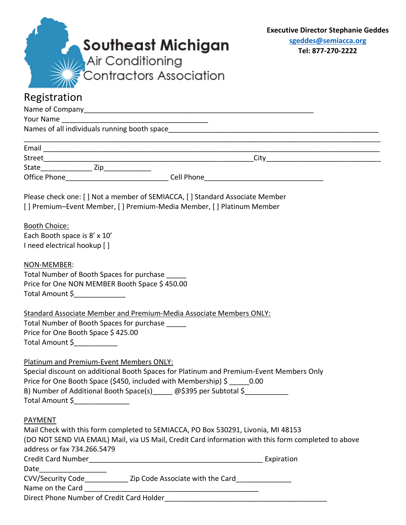| Southeast Michigan<br>Air Conditioning<br>Contractors Association<br>Registration                                                                                                                                                                                                                                 | <b>Executive Director Stephanie Geddes</b><br>sgeddes@semiacca.org<br>Tel: 877-270-2222 |
|-------------------------------------------------------------------------------------------------------------------------------------------------------------------------------------------------------------------------------------------------------------------------------------------------------------------|-----------------------------------------------------------------------------------------|
|                                                                                                                                                                                                                                                                                                                   |                                                                                         |
|                                                                                                                                                                                                                                                                                                                   |                                                                                         |
|                                                                                                                                                                                                                                                                                                                   |                                                                                         |
|                                                                                                                                                                                                                                                                                                                   |                                                                                         |
|                                                                                                                                                                                                                                                                                                                   |                                                                                         |
| Please check one: [] Not a member of SEMIACCA, [] Standard Associate Member<br>[] Premium-Event Member, [] Premium-Media Member, [] Platinum Member                                                                                                                                                               |                                                                                         |
| <b>Booth Choice:</b><br>Each Booth space is 8' x 10'<br>I need electrical hookup []                                                                                                                                                                                                                               |                                                                                         |
| NON-MEMBER:<br>Total Number of Booth Spaces for purchase<br>Price for One NON MEMBER Booth Space \$450.00<br>Total Amount \$                                                                                                                                                                                      |                                                                                         |
| Standard Associate Member and Premium-Media Associate Members ONLY:<br>Total Number of Booth Spaces for purchase<br>Price for One Booth Space \$425.00<br>Total Amount \$                                                                                                                                         |                                                                                         |
| Platinum and Premium-Event Members ONLY:<br>Special discount on additional Booth Spaces for Platinum and Premium-Event Members Only<br>Price for One Booth Space (\$450, included with Membership) \$ 0.00<br>B) Number of Additional Booth Space(s) _____ @\$395 per Subtotal \$_____________<br>Total Amount \$ |                                                                                         |
| <b>PAYMENT</b><br>Mail Check with this form completed to SEMIACCA, PO Box 530291, Livonia, MI 48153<br>(DO NOT SEND VIA EMAIL) Mail, via US Mail, Credit Card information with this form completed to above<br>address or fax 734.266.5479                                                                        |                                                                                         |
|                                                                                                                                                                                                                                                                                                                   |                                                                                         |
| Date _________________                                                                                                                                                                                                                                                                                            |                                                                                         |
| CVV/Security Code_________________ Zip Code Associate with the Card_____________                                                                                                                                                                                                                                  |                                                                                         |
|                                                                                                                                                                                                                                                                                                                   |                                                                                         |
|                                                                                                                                                                                                                                                                                                                   |                                                                                         |